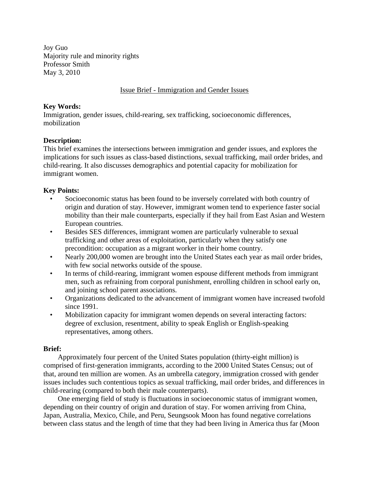Joy Guo Majority rule and minority rights Professor Smith May 3, 2010

# Issue Brief - Immigration and Gender Issues

### **Key Words:**

Immigration, gender issues, child-rearing, sex trafficking, socioeconomic differences, mobilization

### **Description:**

This brief examines the intersections between immigration and gender issues, and explores the implications for such issues as class-based distinctions, sexual trafficking, mail order brides, and child-rearing. It also discusses demographics and potential capacity for mobilization for immigrant women.

# **Key Points:**

- Socioeconomic status has been found to be inversely correlated with both country of origin and duration of stay. However, immigrant women tend to experience faster social mobility than their male counterparts, especially if they hail from East Asian and Western European countries.
- Besides SES differences, immigrant women are particularly vulnerable to sexual trafficking and other areas of exploitation, particularly when they satisfy one precondition: occupation as a migrant worker in their home country.
- Nearly 200,000 women are brought into the United States each year as mail order brides, with few social networks outside of the spouse.
- In terms of child-rearing, immigrant women espouse different methods from immigrant men, such as refraining from corporal punishment, enrolling children in school early on, and joining school parent associations.
- Organizations dedicated to the advancement of immigrant women have increased twofold since 1991.
- Mobilization capacity for immigrant women depends on several interacting factors: degree of exclusion, resentment, ability to speak English or English-speaking representatives, among others.

### **Brief:**

 Approximately four percent of the United States population (thirty-eight million) is comprised of first-generation immigrants, according to the 2000 United States Census; out of that, around ten million are women. As an umbrella category, immigration crossed with gender issues includes such contentious topics as sexual trafficking, mail order brides, and differences in child-rearing (compared to both their male counterparts).

 One emerging field of study is fluctuations in socioeconomic status of immigrant women, depending on their country of origin and duration of stay. For women arriving from China, Japan, Australia, Mexico, Chile, and Peru, Seungsook Moon has found negative correlations between class status and the length of time that they had been living in America thus far (Moon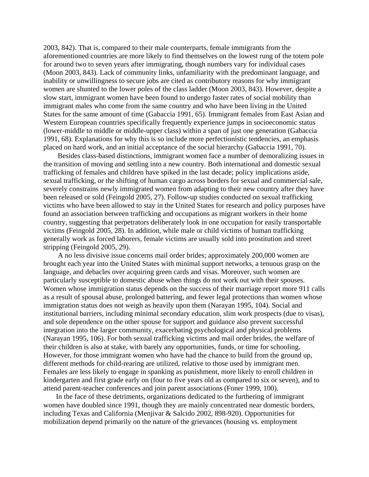2003, 842). That is, compared to their male counterparts, female immigrants from the aforementioned countries are more likely to find themselves on the lowest rung of the totem pole for around two to seven years after immigrating, though numbers vary for individual cases (Moon 2003, 843). Lack of community links, unfamiliarity with the predominant language, and inability or unwillingness to secure jobs are cited as contributory reasons for why immigrant women are shunted to the lower poles of the class ladder (Moon 2003, 843). However, despite a slow start, immigrant women have been found to undergo faster rates of social mobility than immigrant males who come from the same country and who have been living in the United States for the same amount of time (Gabaccia 1991, 65). Immigrant females from East Asian and Western European countries specifically frequently experience jumps in socioeconomic status (lower-middle to middle or middle-upper class) within a span of just one generation (Gabaccia 1991, 68). Explanations for why this is so include more perfectionistic tendencies, an emphasis placed on hard work, and an initial acceptance of the social hierarchy (Gabaccia 1991, 70).

 Besides class-based distinctions, immigrant women face a number of demoralizing issues in the transition of moving and settling into a new country. Both international and domestic sexual trafficking of females and children have spiked in the last decade; policy implications aside, sexual trafficking, or the shifting of human cargo across borders for sexual and commercial sale, severely constrains newly immigrated women from adapting to their new country after they have been released or sold (Feingold 2005, 27). Follow-up studies conducted on sexual trafficking victims who have been allowed to stay in the United States for research and policy purposes have found an association between trafficking and occupations as migrant workers in their home country, suggesting that perpetrators deliberately look in one occupation for easily transportable victims (Feingold 2005, 28). In addition, while male or child victims of human trafficking generally work as forced laborers, female victims are usually sold into prostitution and street stripping (Feingold 2005, 29).

 A no less divisive issue concerns mail order brides; approximately 200,000 women are brought each year into the United States with minimal support networks, a tenuous grasp on the language, and debacles over acquiring green cards and visas. Moreover, such women are particularly susceptible to domestic abuse when things do not work out with their spouses. Women whose immigration status depends on the success of their marriage report more 911 calls as a result of spousal abuse, prolonged battering, and fewer legal protections than women whose immigration status does not weigh as heavily upon them (Narayan 1995, 104). Social and institutional barriers, including minimal secondary education, slim work prospects (due to visas), and sole dependence on the other spouse for support and guidance also prevent successful integration into the larger community, exacerbating psychological and physical problems (Narayan 1995, 106). For both sexual trafficking victims and mail order brides, the welfare of their children is also at stake, with barely any opportunities, funds, or time for schooling. However, for those immigrant women who have had the chance to build from the ground up, different methods for child-rearing are utilized, relative to those used by immigrant men. Females are less likely to engage in spanking as punishment, more likely to enroll children in kindergarten and first grade early on (four to five years old as compared to six or seven), and to attend parent-teacher conferences and join parent associations (Foner 1999, 100).

 In the face of these detriments, organizations dedicated to the furthering of immigrant women have doubled since 1991, though they are mainly concentrated near domestic borders, including Texas and California (Menjivar & Salcido 2002, 898-920). Opportunities for mobilization depend primarily on the nature of the grievances (housing vs. employment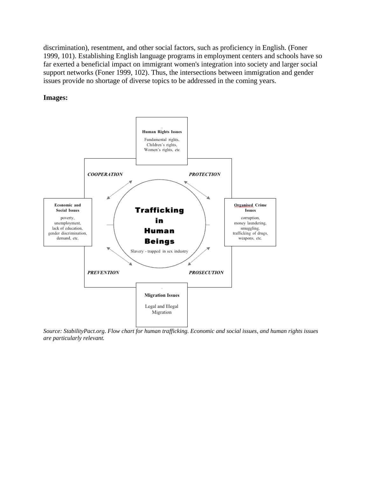discrimination), resentment, and other social factors, such as proficiency in English. (Foner 1999, 101). Establishing English language programs in employment centers and schools have so far exerted a beneficial impact on immigrant women's integration into society and larger social support networks (Foner 1999, 102). Thus, the intersections between immigration and gender issues provide no shortage of diverse topics to be addressed in the coming years.

### **Images:**



*Source: StabilityPact.org. Flow chart for human trafficking. Economic and social issues, and human rights issues are particularly relevant.*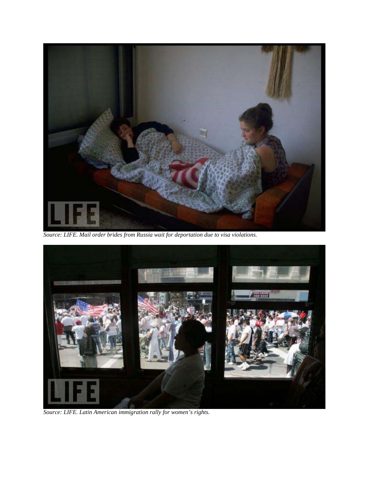

*Source: LIFE. Mail order brides from Russia wait for deportation due to visa violations.* 



*Source: LIFE. Latin American immigration rally for women's rights.*